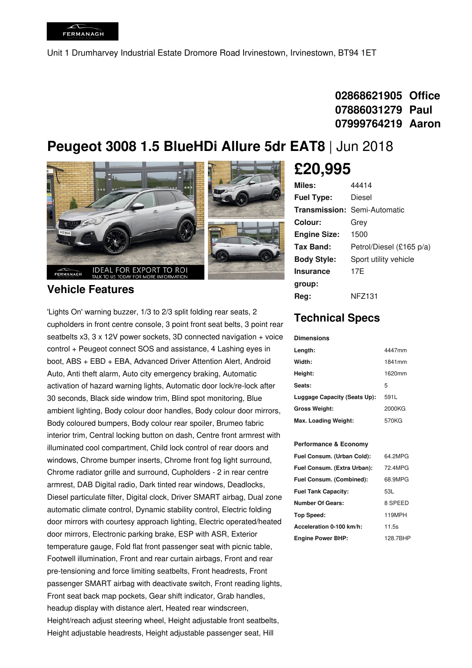Unit 1 Drumharvey Industrial Estate Dromore Road Irvinestown, Irvinestown, BT94 1ET

## **02868621905 Office 07886031279 Paul 07999764219 Aaron**

# **Peugeot 3008 1.5 BlueHDi Allure 5dr EAT8** | Jun 2018



### **Vehicle Features**

'Lights On' warning buzzer, 1/3 to 2/3 split folding rear seats, 2 cupholders in front centre console, 3 point front seat belts, 3 point rear seatbelts  $x3$ ,  $3 \times 12V$  power sockets,  $3D$  connected navigation + voice control + Peugeot connect SOS and assistance, 4 Lashing eyes in boot, ABS + EBD + EBA, Advanced Driver Attention Alert, Android Auto, Anti theft alarm, Auto city emergency braking, Automatic activation of hazard warning lights, Automatic door lock/re-lock after 30 seconds, Black side window trim, Blind spot monitoring, Blue ambient lighting, Body colour door handles, Body colour door mirrors, Body coloured bumpers, Body colour rear spoiler, Brumeo fabric interior trim, Central locking button on dash, Centre front armrest with illuminated cool compartment, Child lock control of rear doors and windows, Chrome bumper inserts, Chrome front fog light surround, Chrome radiator grille and surround, Cupholders -2 in rear centre armrest, DAB Digital radio, Dark tinted rear windows, Deadlocks, Diesel particulate filter, Digital clock, Driver SMART airbag, Dual zone automatic climate control, Dynamic stability control, Electric folding door mirrors with courtesy approach lighting, Electric operated/heated door mirrors, Electronic parking brake, ESP with ASR, Exterior temperature gauge, Fold flat front passenger seat with picnic table, Footwell illumination, Front and rear curtain airbags, Front and rear pre-tensioning and force limiting seatbelts, Front headrests, Front passenger SMART airbag with deactivate switch, Front reading lights, Front seat back map pockets, Gear shift indicator, Grab handles, headup display with distance alert, Heated rear windscreen, Height/reach adjust steering wheel, Height adjustable front seatbelts, Height adjustable headrests, Height adjustable passenger seat, Hill

# **£20,995**

| <b>Miles:</b>       | 44414                               |
|---------------------|-------------------------------------|
| <b>Fuel Type:</b>   | Diesel                              |
|                     | <b>Transmission: Semi-Automatic</b> |
| Colour:             | Grey                                |
| <b>Engine Size:</b> | 1500                                |
| Tax Band:           | Petrol/Diesel (£165 p/a)            |
| <b>Body Style:</b>  | Sport utility vehicle               |
| <b>Insurance</b>    | 17F                                 |
| group:              |                                     |
| Reg:                | NFZ131                              |

### **Technical Specs**

#### **Dimensions**

| Length:                      | 4447mm |
|------------------------------|--------|
| Width:                       | 1841mm |
| Height:                      | 1620mm |
| Seats:                       | 5      |
| Luggage Capacity (Seats Up): | 591L   |
| <b>Gross Weight:</b>         | 2000KG |
| Max. Loading Weight:         | 570KG  |

#### **Performance & Economy**

| Fuel Consum. (Urban Cold):  | 64.2MPG  |
|-----------------------------|----------|
| Fuel Consum. (Extra Urban): | 72.4MPG  |
| Fuel Consum. (Combined):    | 68.9MPG  |
| <b>Fuel Tank Capacity:</b>  | 53L      |
| <b>Number Of Gears:</b>     | 8 SPEED  |
| Top Speed:                  | 119MPH   |
| Acceleration 0-100 km/h:    | 11.5s    |
| <b>Engine Power BHP:</b>    | 128.7BHP |